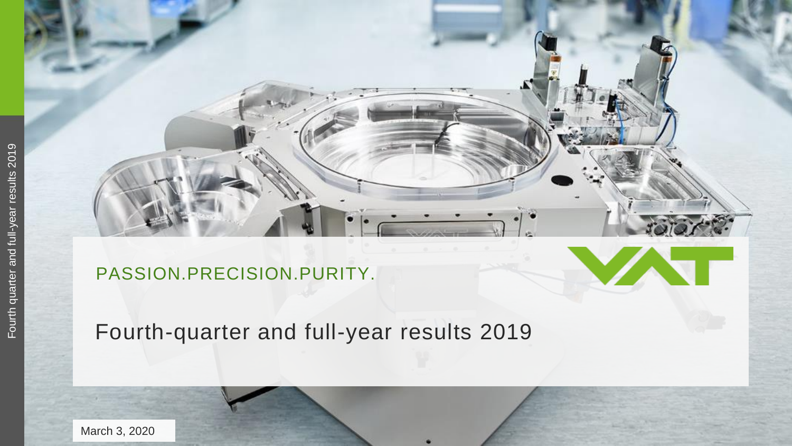### PASSION.PRECISION.PURITY.

### Fourth -quarter and full -year results 2019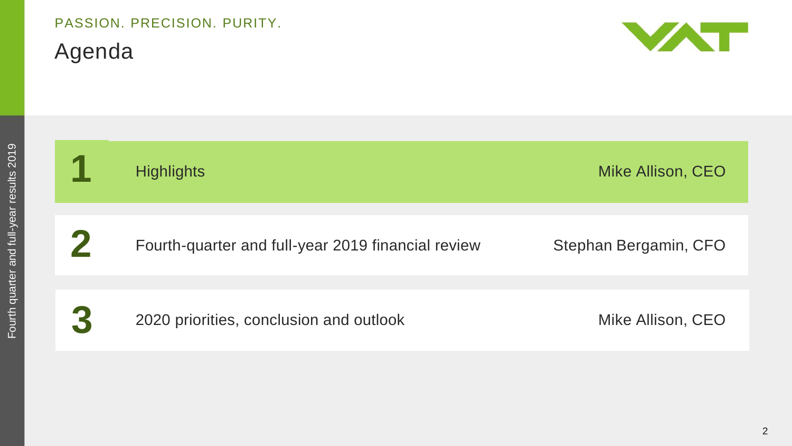# PASSION. PRECISION. PURITY.

Agenda



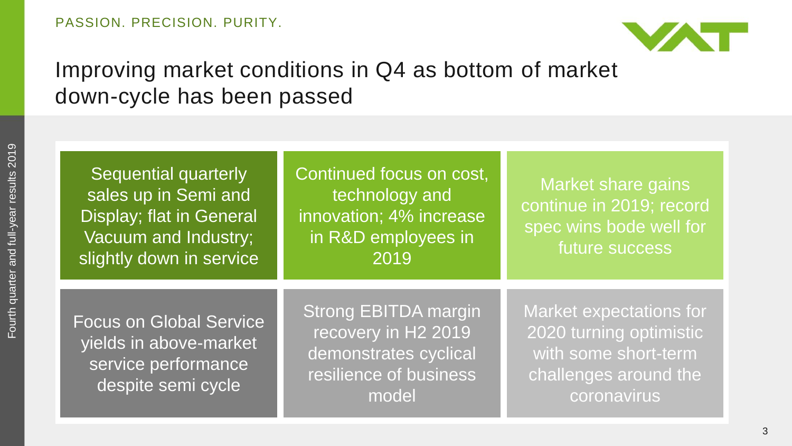

### Improving market conditions in Q4 as bottom of market down-cycle has been passed

Sequential quarterly sales up in Semi and Display; flat in General Vacuum and Industry; slightly down in service Continued focus on cost, technology and innovation; 4% increase in R&D employees in 2019

Market share gains continue in 2019; record spec wins bode well for future success

Focus on Global Service yields in above-market service performance despite semi cycle

Strong EBITDA margin recovery in H2 2019 demonstrates cyclical resilience of business model

Market expectations for 2020 turning optimistic with some short-term challenges around the coronavirus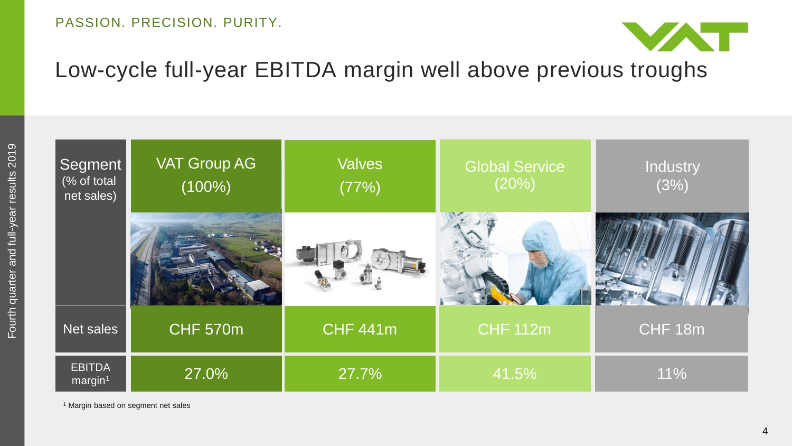

### Low-cycle full-year EBITDA margin well above previous troughs



<sup>1</sup> Margin based on segment net sales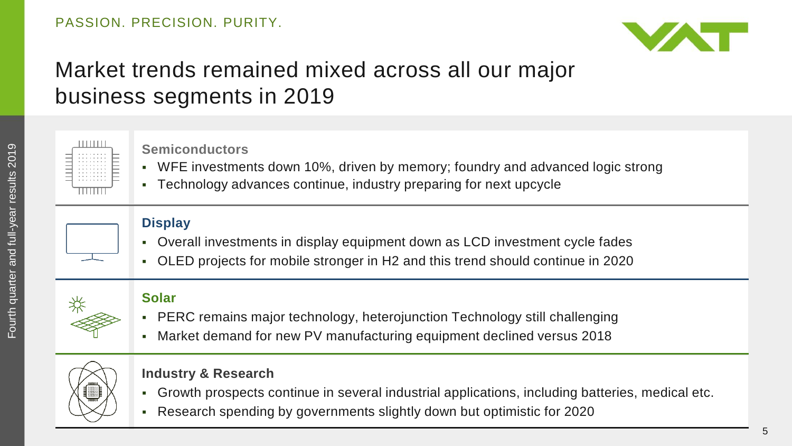

### Market trends remained mixed across all our major business segments in 2019



#### **Semiconductors**

- WFE investments down 10%, driven by memory; foundry and advanced logic strong
- Technology advances continue, industry preparing for next upcycle

#### **Display**

- Overall investments in display equipment down as LCD investment cycle fades
- OLED projects for mobile stronger in H2 and this trend should continue in 2020

### **Solar**

- PERC remains major technology, heterojunction Technology still challenging
- Market demand for new PV manufacturing equipment declined versus 2018



#### **Industry & Research**

- Growth prospects continue in several industrial applications, including batteries, medical etc.
- Research spending by governments slightly down but optimistic for 2020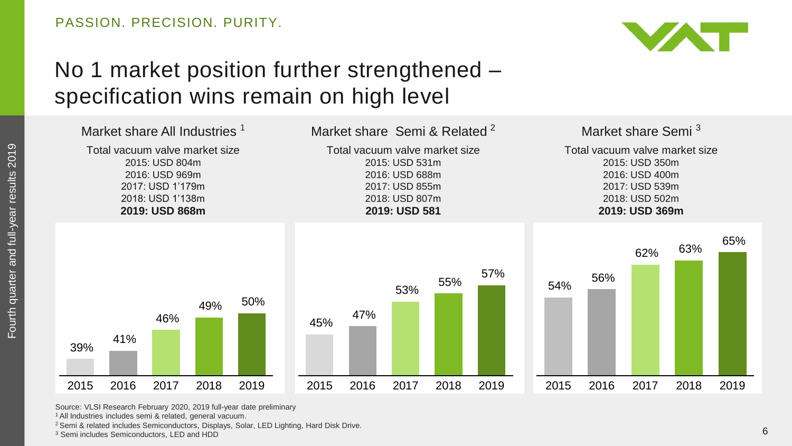

### No 1 market position further strengthened – specification wins remain on high level



Source: VLSI Research February 2020, 2019 full-year date preliminary

<sup>1</sup>All Industries includes semi & related, general vacuum.

<sup>2</sup> Semi & related includes Semiconductors, Displays, Solar, LED Lighting, Hard Disk Drive.

<sup>3</sup> Semi includes Semiconductors, LED and HDD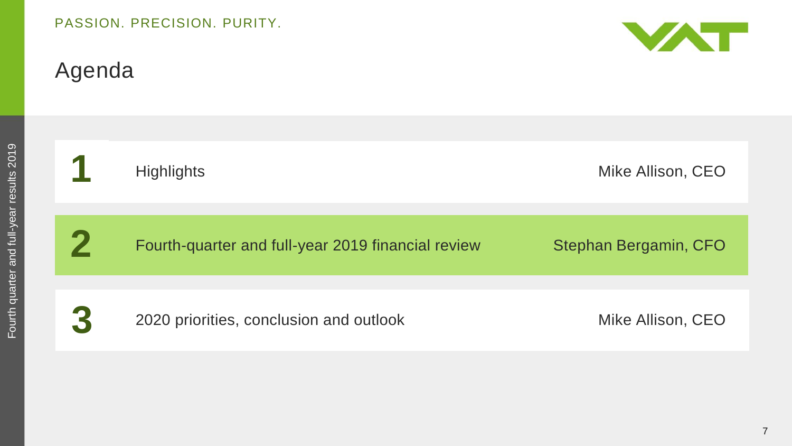## Agenda



| Fourth quarter and full-year results 2019 |   | Hi     |
|-------------------------------------------|---|--------|
|                                           | 2 | F<br>Ċ |
|                                           | 3 | 20     |

| $\overline{\phantom{a}}$ | <b>Highlights</b>                                  | Mike Allison, CEO     |
|--------------------------|----------------------------------------------------|-----------------------|
|                          |                                                    |                       |
|                          | Fourth-quarter and full-year 2019 financial review | Stephan Bergamin, CFO |
|                          |                                                    |                       |
| 3                        | 2020 priorities, conclusion and outlook            | Mike Allison, CEO     |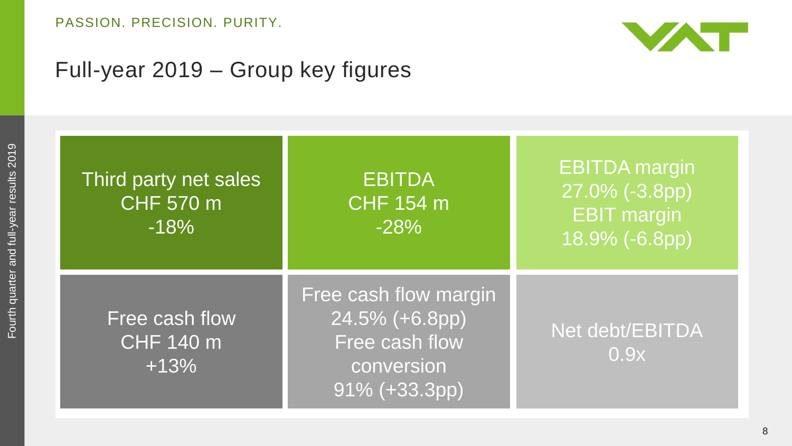

### Full-year 2019 – Group key figures

| Third party net sales<br><b>CHF 570 m</b><br>$-18%$ | <b>EBITDA</b><br><b>CHF 154 m</b><br>$-28%$                                              | <b>EBITDA</b> margin<br>27.0% (-3.8pp)<br><b>EBIT</b> margin<br>18.9% (-6.8pp) |
|-----------------------------------------------------|------------------------------------------------------------------------------------------|--------------------------------------------------------------------------------|
| Free cash flow<br><b>CHF 140 m</b><br>$+13%$        | Free cash flow margin<br>24.5% (+6.8pp)<br>Free cash flow<br>conversion<br>91% (+33.3pp) | Net debt/EBITDA<br>0.9x                                                        |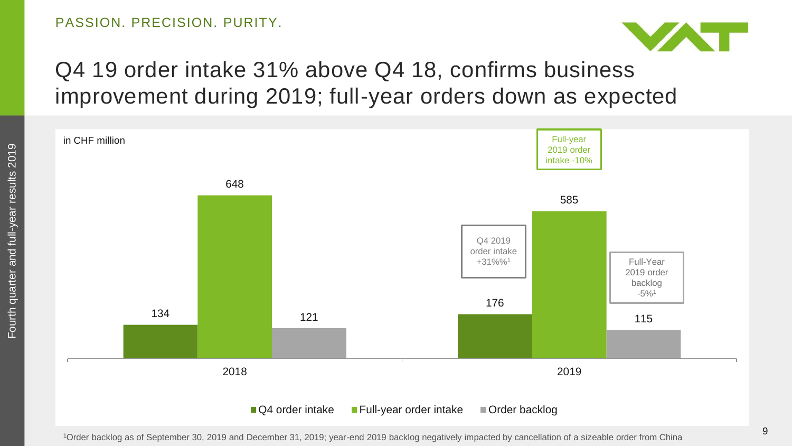

## Q4 19 order intake 31% above Q4 18, confirms business improvement during 2019; full-year orders down as expected



<sup>1</sup>Order backlog as of September 30, 2019 and December 31, 2019; year-end 2019 backlog negatively impacted by cancellation of a sizeable order from China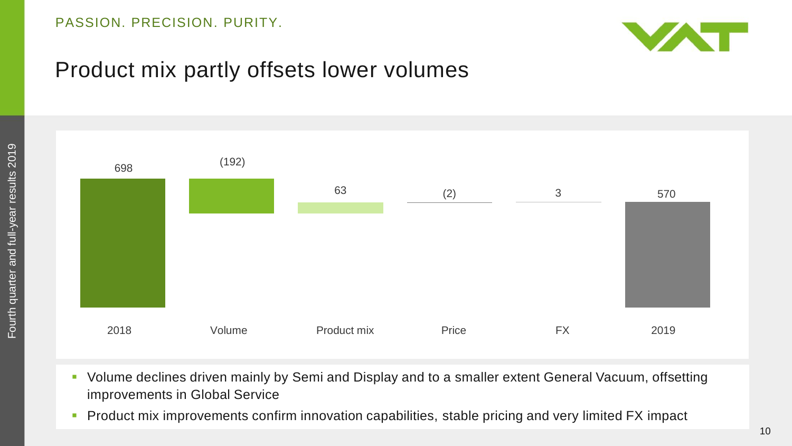

### Product mix partly offsets lower volumes



- Volume declines driven mainly by Semi and Display and to a smaller extent General Vacuum, offsetting improvements in Global Service
- **Product mix improvements confirm innovation capabilities, stable pricing and very limited FX impact**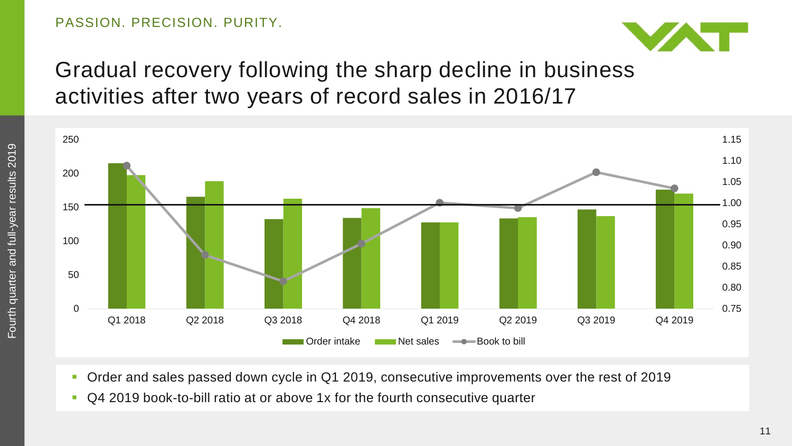

### Gradual recovery following the sharp decline in business activities after two years of record sales in 2016/17



- Order and sales passed down cycle in Q1 2019, consecutive improvements over the rest of 2019
- Q4 2019 book-to-bill ratio at or above 1x for the fourth consecutive quarter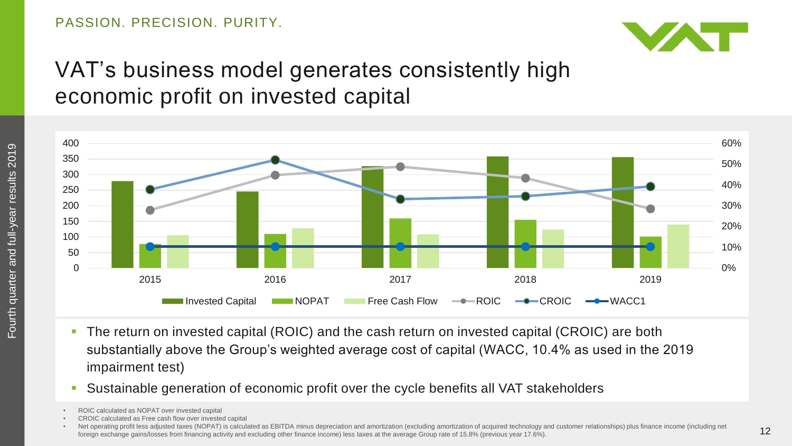

### VAT's business model generates consistently high economic profit on invested capital



- The return on invested capital (ROIC) and the cash return on invested capital (CROIC) are both substantially above the Group's weighted average cost of capital (WACC, 10.4% as used in the 2019 impairment test)
- Sustainable generation of economic profit over the cycle benefits all VAT stakeholders

• CROIC calculated as Free cash flow over invested capital

ROIC calculated as NOPAT over invested capital

Net operating profit less adjusted taxes (NOPAT) is calculated as EBITDA minus depreciation and amortization (excluding amortization of acquired technology and customer relationships) plus finance income (including net foreign exchange gains/losses from financing activity and excluding other finance income) less taxes at the average Group rate of 15.8% (previous year 17.6%).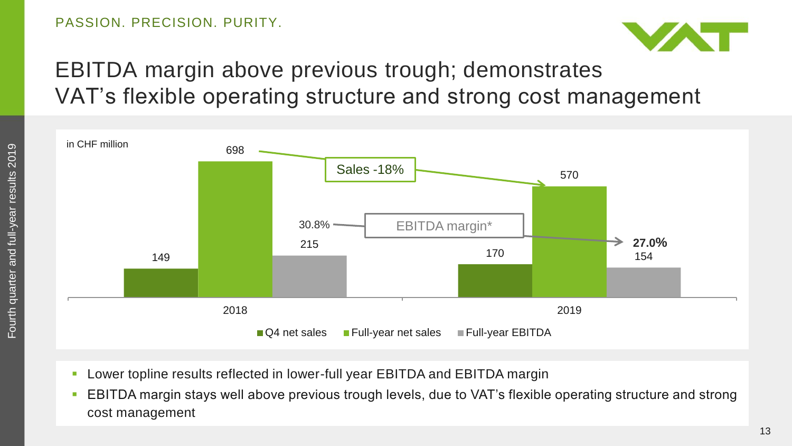

## EBITDA margin above previous trough; demonstrates VAT's flexible operating structure and strong cost management



- Lower topline results reflected in lower-full year EBITDA and EBITDA margin
- EBITDA margin stays well above previous trough levels, due to VAT's flexible operating structure and strong cost management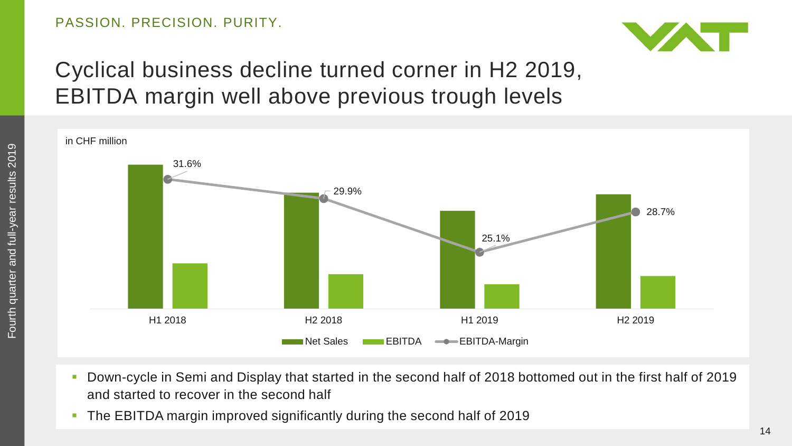

### Cyclical business decline turned corner in H2 2019, EBITDA margin well above previous trough levels



- Down-cycle in Semi and Display that started in the second half of 2018 bottomed out in the first half of 2019 and started to recover in the second half
- The EBITDA margin improved significantly during the second half of 2019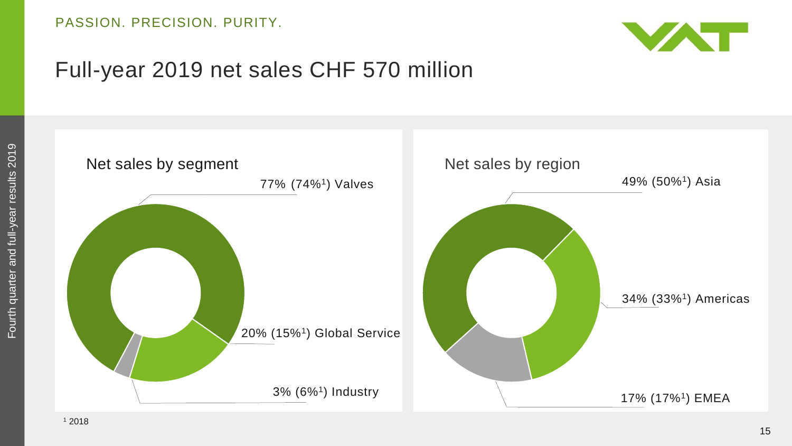

### Full-year 2019 net sales CHF 570 million

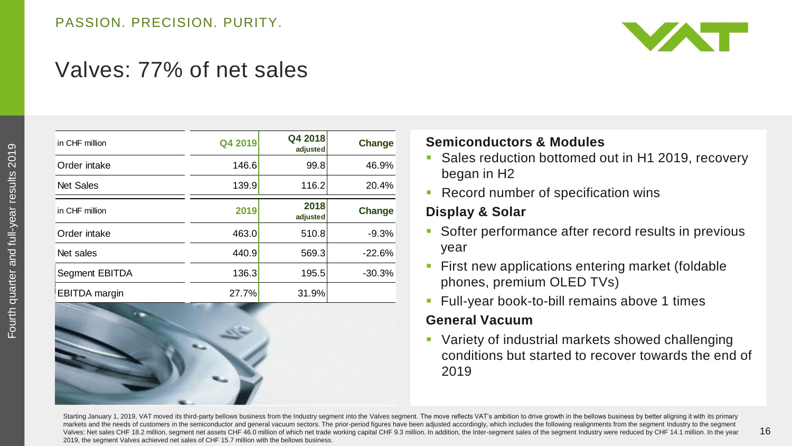

### Valves: 77% of net sales

| in CHF million   | Q4 2019 | Q4 2018<br>adjusted | Change   | <b>Semico</b>  |
|------------------|---------|---------------------|----------|----------------|
| Order intake     | 146.6   | 99.8                | 46.9%    | Sales          |
| <b>Net Sales</b> | 139.9   | 116.2               | 20.4%    | bega<br>Reco   |
| in CHF million   | 2019    | 2018<br>adjusted    | Change   | <b>Display</b> |
| Order intake     | 463.0   | 510.8               | $-9.3%$  | Softe          |
| Net sales        | 440.9   | 569.3               | $-22.6%$ | year           |
| Segment EBITDA   | 136.3   | 195.5               | $-30.3%$ | First<br>phon  |
| EBITDA margin    | 27.7%   | 31.9%               |          | Full-y         |
|                  |         |                     |          | Genera         |
|                  |         |                     |          | Varie          |
|                  |         |                     |          | cond           |
|                  |         |                     |          | 2019           |



#### **Semiconductors & Modules**

- Sales reduction bottomed out in H1 2019, recovery began in H2
- **Record number of specification wins**

#### **Display & Solar**

- **Softer performance after record results in previous** year
- **First new applications entering market (foldable** phones, premium OLED TVs)
- **Full-year book-to-bill remains above 1 times**

#### **General Vacuum**

**Variety of industrial markets showed challenging** conditions but started to recover towards the end of

Starting January 1, 2019, VAT moved its third-party bellows business from the Industry segment into the Valves segment. The move reflects VAT's ambition to drive growth in the bellows business by better aligning it with it markets and the needs of customers in the semiconductor and general vacuum sectors. The prior-period figures have been adjusted accordingly, which includes the following realignments from the segment Industry to the segmen Valves: Net sales CHF 18.2 million, segment net assets CHF 46.0 million of which net trade working capital CHF 9.3 million. In addition, the Inter-segment sales of the segment Industry were reduced by CHF 14.1 million. In 2019, the segment Valves achieved net sales of CHF 15.7 million with the bellows business.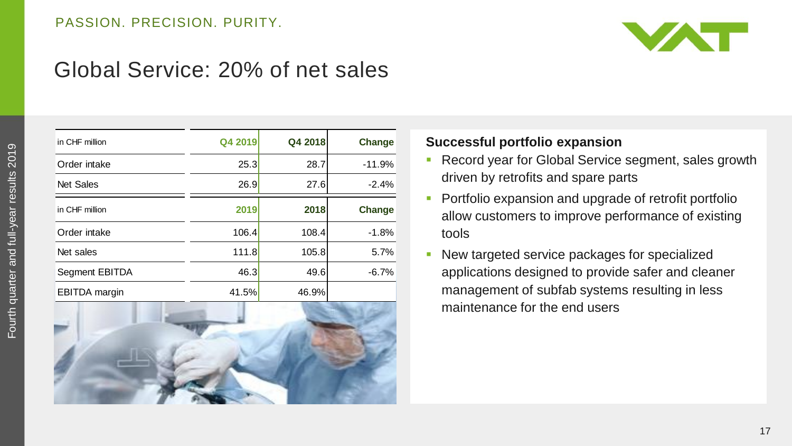

### Global Service: 20% of net sales

| in CHF million       | Q4 2019 | Q4 2018 | Change   |
|----------------------|---------|---------|----------|
| Order intake         | 25.3    | 28.7    | $-11.9%$ |
| Net Sales            | 26.9    | 27.6    | $-2.4%$  |
| in CHF million       | 2019    | 2018    | Change   |
| Order intake         | 106.4   | 108.4   | $-1.8%$  |
| Net sales            | 111.8   | 105.8   | 5.7%     |
| Segment EBITDA       | 46.3    | 49.6    | $-6.7%$  |
| <b>EBITDA</b> margin | 41.5%   | 46.9%   |          |



#### **Successful portfolio expansion**

- **Record year for Global Service segment, sales growth** driven by retrofits and spare parts
- **Portfolio expansion and upgrade of retrofit portfolio** allow customers to improve performance of existing tools
- **New targeted service packages for specialized** applications designed to provide safer and cleaner management of subfab systems resulting in less maintenance for the end users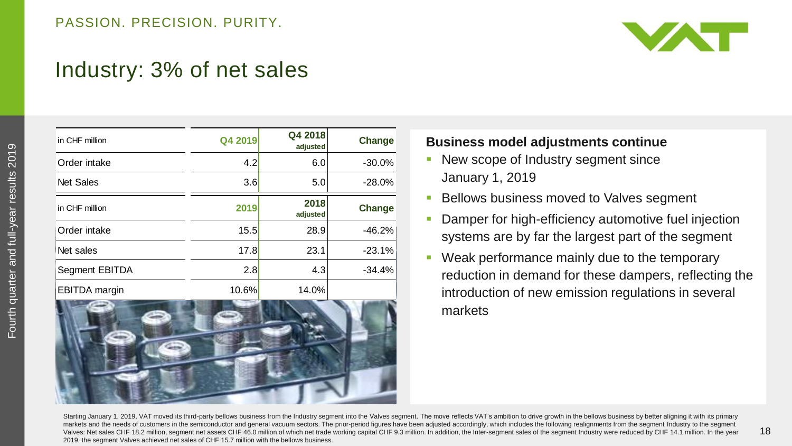

### Industry: 3% of net sales

| in CHF million       | Q4 2019 | Q4 2018<br>adjusted | Change   |
|----------------------|---------|---------------------|----------|
| Order intake         | 4.2     | 6.0                 | $-30.0%$ |
| <b>Net Sales</b>     | 3.6     | 5.0                 | $-28.0%$ |
| in CHF million       | 2019    | 2018<br>adjusted    | Change   |
| Order intake         | 15.5    | 28.9                | $-46.2%$ |
| Net sales            | 17.8    | 23.1                | $-23.1%$ |
| Segment EBITDA       | 2.8     | 4.3                 | $-34.4%$ |
| <b>EBITDA</b> margin | 10.6%   | 14.0%               |          |



#### **Business model adjustments continue**

- New scope of Industry segment since January 1, 2019
- **Bellows business moved to Valves segment**
- Damper for high-efficiency automotive fuel injection systems are by far the largest part of the segment
- Weak performance mainly due to the temporary reduction in demand for these dampers, reflecting the introduction of new emission regulations in several markets

Starting January 1, 2019, VAT moved its third-party bellows business from the Industry segment into the Valves segment. The move reflects VAT's ambition to drive growth in the bellows business by better aligning it with it markets and the needs of customers in the semiconductor and general vacuum sectors. The prior-period figures have been adjusted accordingly, which includes the following realignments from the segment Industry to the segmen Valves: Net sales CHF 18.2 million, segment net assets CHF 46.0 million of which net trade working capital CHF 9.3 million. In addition, the Inter-segment sales of the segment Industry were reduced by CHF 14.1 million. In 2019, the segment Valves achieved net sales of CHF 15.7 million with the bellows business.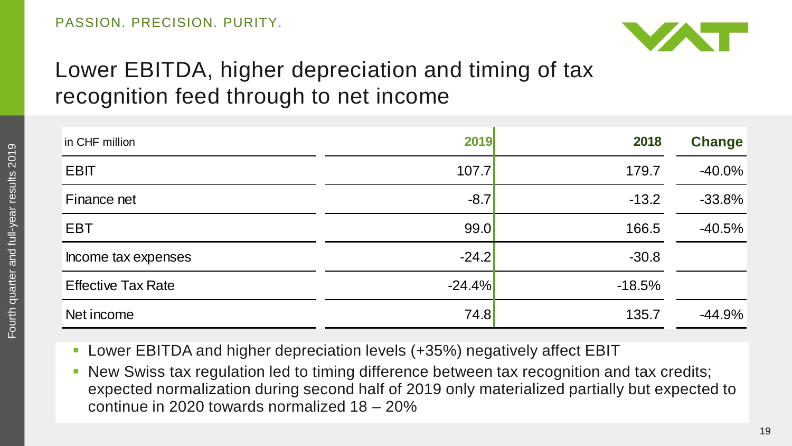

### Lower EBITDA, higher depreciation and timing of tax recognition feed through to net income

| in CHF million            | 2019     | 2018     | <b>Change</b> |
|---------------------------|----------|----------|---------------|
| <b>EBIT</b>               | 107.7    | 179.7    | $-40.0%$      |
| Finance net               | $-8.7$   | $-13.2$  | $-33.8%$      |
| <b>EBT</b>                | 99.0     | 166.5    | $-40.5%$      |
| Income tax expenses       | $-24.2$  | $-30.8$  |               |
| <b>Effective Tax Rate</b> | $-24.4%$ | $-18.5%$ |               |
| Net income                | 74.8     | 135.7    | $-44.9%$      |

- Lower EBITDA and higher depreciation levels (+35%) negatively affect EBIT
- New Swiss tax regulation led to timing difference between tax recognition and tax credits; expected normalization during second half of 2019 only materialized partially but expected to continue in 2020 towards normalized 18 – 20%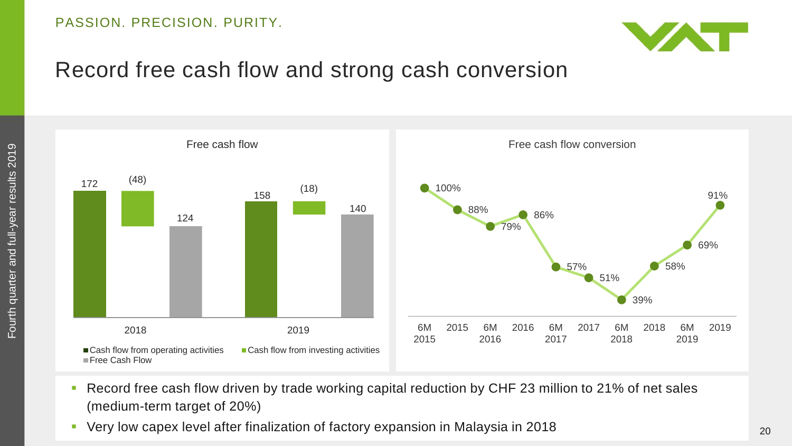

### Record free cash flow and strong cash conversion





- Record free cash flow driven by trade working capital reduction by CHF 23 million to 21% of net sales (medium-term target of 20%)
- Very low capex level after finalization of factory expansion in Malaysia in 2018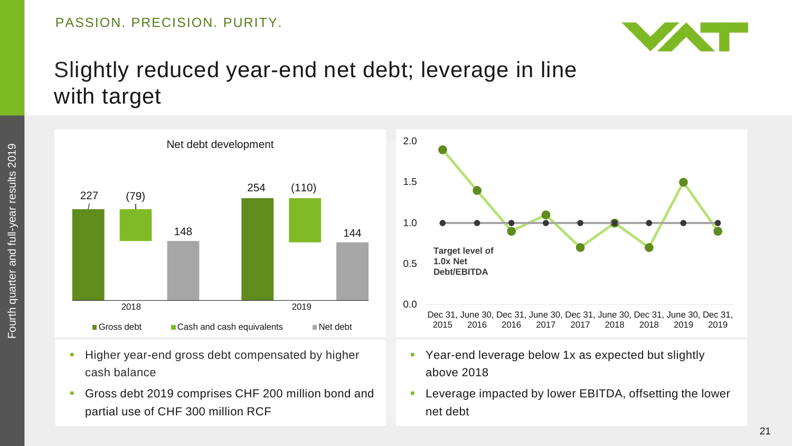

### Slightly reduced year-end net debt; leverage in line with target

227 254 (79) (110) 148 144 Gross debt  $\Box$  Cash and cash equivalents  $\Box$  Net debt 2018 2019 0.0

Net debt development

- **Higher year-end gross debt compensated by higher** cash balance
- Gross debt 2019 comprises CHF 200 million bond and partial use of CHF 300 million RCF



- **Par-end leverage below 1x as expected but slightly** above 2018
- **EXECT** Leverage impacted by lower EBITDA, offsetting the lower net debt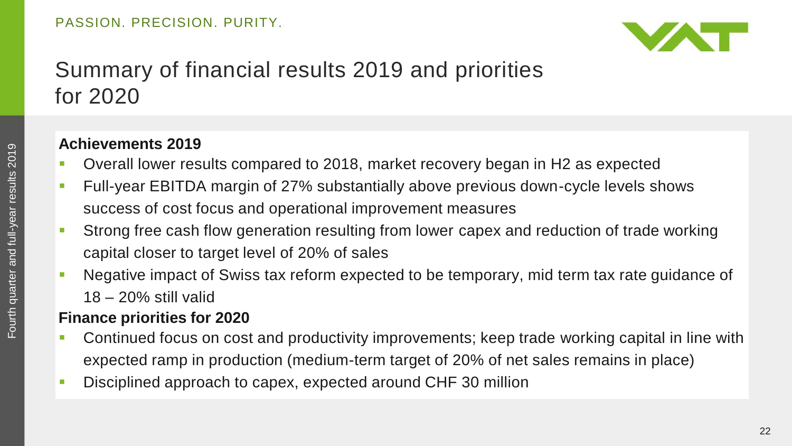

### Summary of financial results 2019 and priorities for 2020

### **Achievements 2019**

- Overall lower results compared to 2018, market recovery began in H2 as expected
- Full-year EBITDA margin of 27% substantially above previous down-cycle levels shows success of cost focus and operational improvement measures
- Strong free cash flow generation resulting from lower capex and reduction of trade working capital closer to target level of 20% of sales
- Negative impact of Swiss tax reform expected to be temporary, mid term tax rate guidance of 18 – 20% still valid

### **Finance priorities for 2020**

- Continued focus on cost and productivity improvements; keep trade working capital in line with expected ramp in production (medium-term target of 20% of net sales remains in place)
- Disciplined approach to capex, expected around CHF 30 million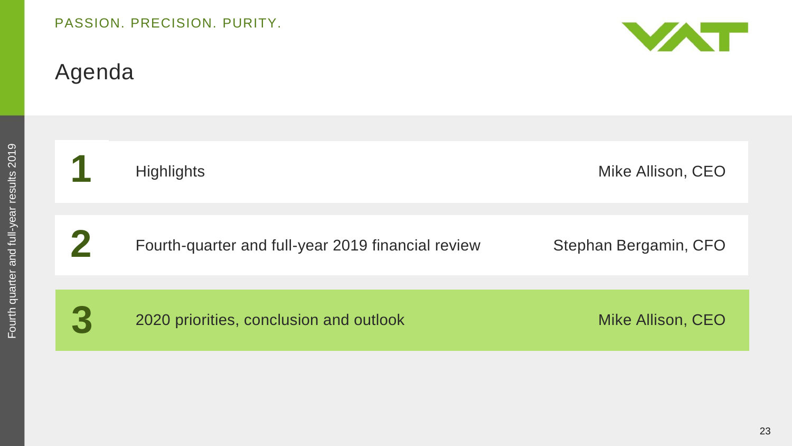### Agenda



|                                           |   | Highligh |
|-------------------------------------------|---|----------|
| Fourth quarter and full-year results 2019 | 2 | Fourth-c |
|                                           |   |          |
|                                           | 3 | 2020 pri |

**1** Highlights Mike Allison, CEO

**2** Fourth-quarter and full-year 2019 financial review Stephan Bergamin, CFO

**3** 2020 priorities, conclusion and outlook Mike Allison, CEO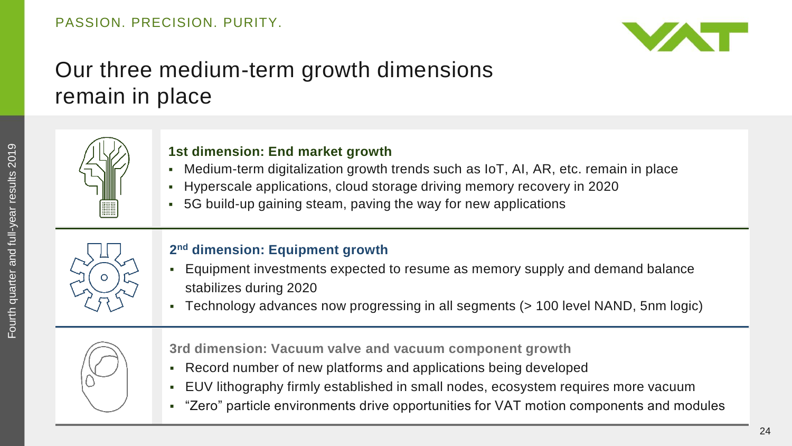

### Our three medium-term growth dimensions remain in place



#### **1st dimension: End market growth**

- Medium-term digitalization growth trends such as IoT, AI, AR, etc. remain in place
- Hyperscale applications, cloud storage driving memory recovery in 2020
- 5G build-up gaining steam, paving the way for new applications



#### **2 nd dimension: Equipment growth**

- Equipment investments expected to resume as memory supply and demand balance stabilizes during 2020
- Technology advances now progressing in all segments (> 100 level NAND, 5nm logic)



**3rd dimension: Vacuum valve and vacuum component growth**

- Record number of new platforms and applications being developed
- EUV lithography firmly established in small nodes, ecosystem requires more vacuum
- "Zero" particle environments drive opportunities for VAT motion components and modules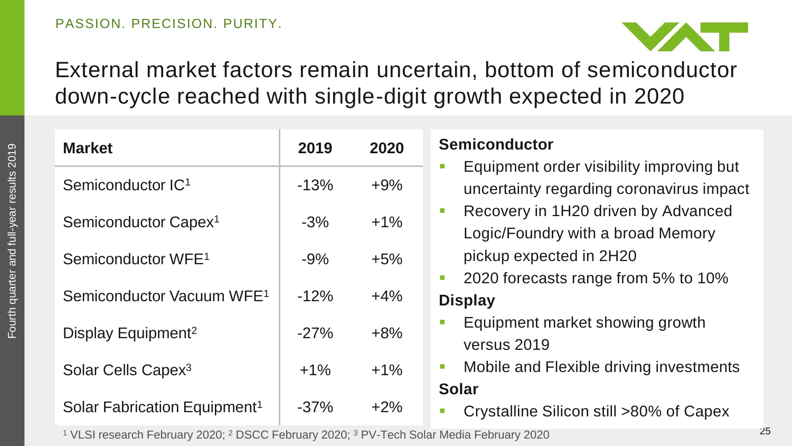

### External market factors remain uncertain, bottom of semiconductor down-cycle reached with single-digit growth expected in 2020

| <b>Market</b>                            | 2019   | 2020   | <b>Semiconductor</b>                                                                                    |
|------------------------------------------|--------|--------|---------------------------------------------------------------------------------------------------------|
| Semiconductor IC <sup>1</sup>            | $-13%$ | $+9%$  | Equipment order visibility improving but<br>$\mathcal{C}$<br>uncertainty regarding coronavirus impact   |
| Semiconductor Capex <sup>1</sup>         | $-3%$  | $+1\%$ | Recovery in 1H20 driven by Advanced<br>$\mathcal{L}_{\mathcal{A}}$<br>Logic/Foundry with a broad Memory |
| Semiconductor WFE <sup>1</sup>           | $-9%$  | $+5%$  | pickup expected in 2H20                                                                                 |
| Semiconductor Vacuum WFE <sup>1</sup>    | $-12%$ | $+4%$  | 2020 forecasts range from 5% to 10%<br>T.<br><b>Display</b>                                             |
| Display Equipment <sup>2</sup>           | $-27%$ | $+8%$  | Equipment market showing growth<br>versus 2019                                                          |
| Solar Cells Capex <sup>3</sup>           | $+1%$  | $+1\%$ | Mobile and Flexible driving investments<br>T.                                                           |
| Solar Fabrication Equipment <sup>1</sup> | $-37%$ | $+2\%$ | <b>Solar</b><br>Crystalline Silicon still >80% of Capex<br>D                                            |

<sup>1</sup> VLSI research February 2020; <sup>2</sup> DSCC February 2020; <sup>3</sup> PV-Tech Solar Media February 2020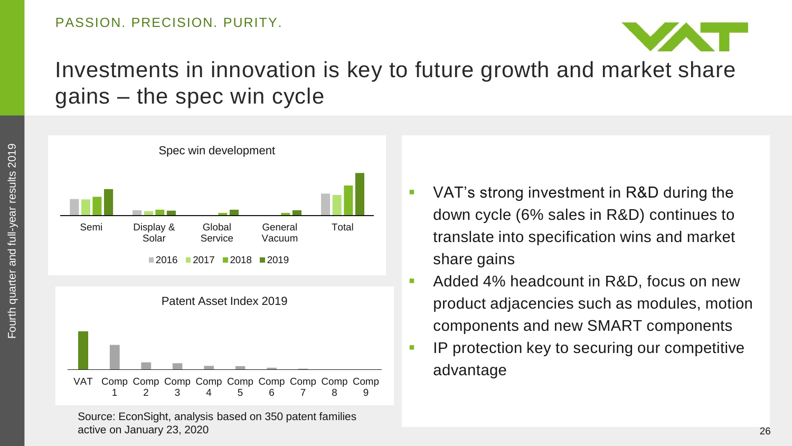

### Investments in innovation is key to future growth and market share gains – the spec win cycle



- VAT's strong investment in R&D during the down cycle (6% sales in R&D) continues to translate into specification wins and market share gains
- Added 4% headcount in R&D, focus on new product adjacencies such as modules, motion components and new SMART components
- IP protection key to securing our competitive advantage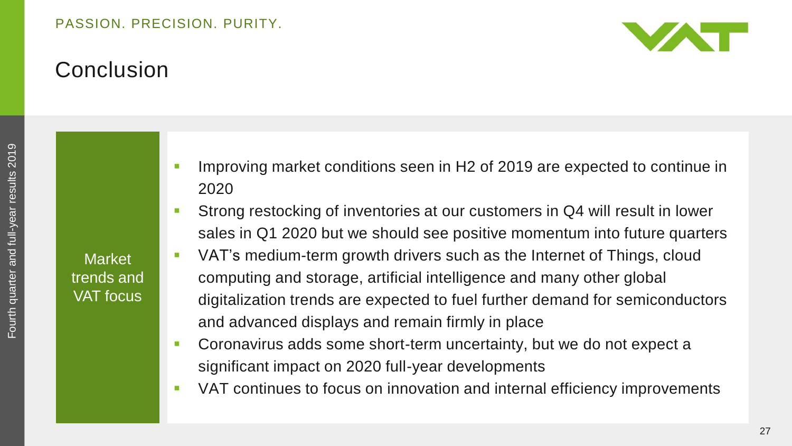

### Conclusion

**Market** trends and VAT focus

- **IMPROVING MARKER CONDITIONS SEEN IN H2 of 2019 are expected to continue in** 2020
- Strong restocking of inventories at our customers in Q4 will result in lower sales in Q1 2020 but we should see positive momentum into future quarters
- VAT's medium-term growth drivers such as the Internet of Things, cloud computing and storage, artificial intelligence and many other global digitalization trends are expected to fuel further demand for semiconductors and advanced displays and remain firmly in place
- **Coronavirus adds some short-term uncertainty, but we do not expect a** significant impact on 2020 full-year developments
- VAT continues to focus on innovation and internal efficiency improvements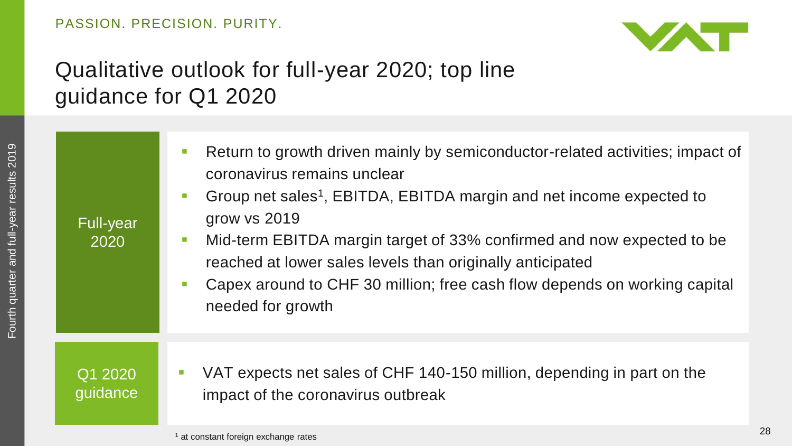

### Qualitative outlook for full-year 2020; top line guidance for Q1 2020

| <b>Full-year</b><br>2020 | Return to growth driven mainly by semiconductor-related activities; impact of<br>T.<br>coronavirus remains unclear<br>Group net sales <sup>1</sup> , EBITDA, EBITDA margin and net income expected to<br>$\mathcal{C}$<br>grow vs 2019<br>Mid-term EBITDA margin target of 33% confirmed and now expected to be<br><b>I</b><br>reached at lower sales levels than originally anticipated<br>Capex around to CHF 30 million; free cash flow depends on working capital<br>T.<br>needed for growth |
|--------------------------|--------------------------------------------------------------------------------------------------------------------------------------------------------------------------------------------------------------------------------------------------------------------------------------------------------------------------------------------------------------------------------------------------------------------------------------------------------------------------------------------------|
| Q1 2020<br>guidance      | VAT expects net sales of CHF 140-150 million, depending in part on the<br>$\overline{\phantom{a}}$<br>impact of the coronavirus outbreak                                                                                                                                                                                                                                                                                                                                                         |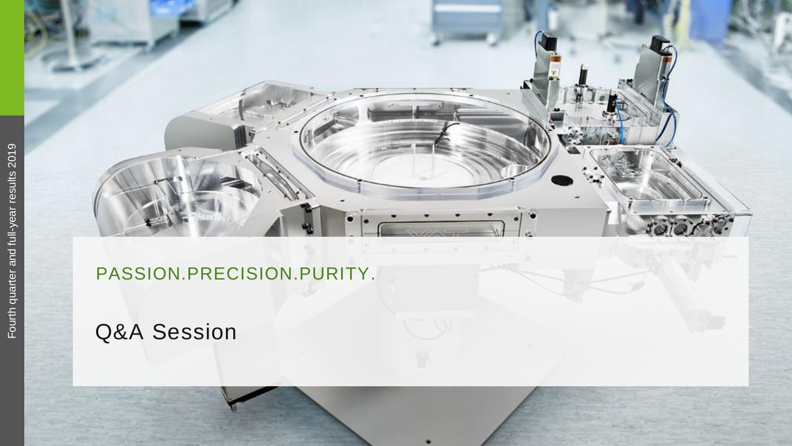### PASSION.PRECISION.PURITY .

### Q&A Session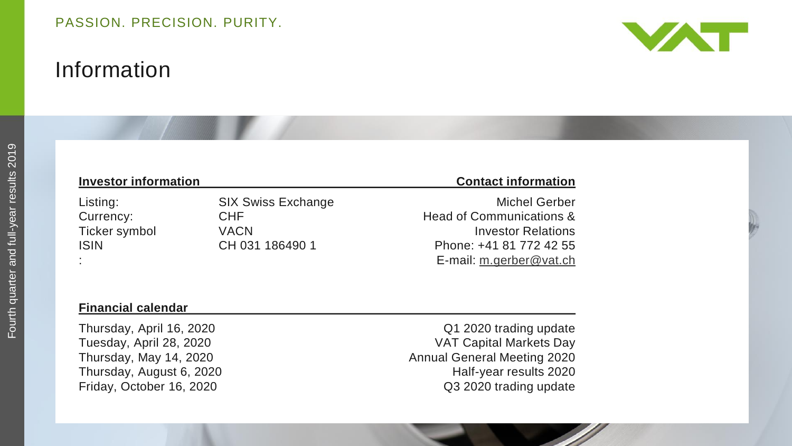### Information



#### **Investor**

#### **information Contact information**

Listing: SIX Swiss Exchange Contract Michel Gerber Currency: CHF CHF Head of Communications & Ticker symbol VACN VACN Investor Relations ISIN CH 031 186490 1 Phone: +41 81 772 42 55 E-mail: [m.gerber@vat.ch](mailto:m.gerber@vat.ch)

#### **Financial calendar**

Thursday, August 6, 2020

Thursday, April 16, 2020 **CONFIDENTIAL CONTROLLY A CONTROLLY CONTROLLY CONTROLLY CONTROLLY CONTROLLY CONTROLLY CONTROLLY CONTROLLY CONTROLLY CONTROLLY CONTROLLY CONTROLLY CONTROLLY CONTROLLY CONTROLLY CONTROLLY CONTROLLY C** Tuesday, April 28, 2020 VAT Capital Markets Day Thursday, May 14, 2020 **Annual General Meeting 2020** Half-year results 2020 Friday, October 16, 2020 **COVERS** COVER 16, 2020 trading update